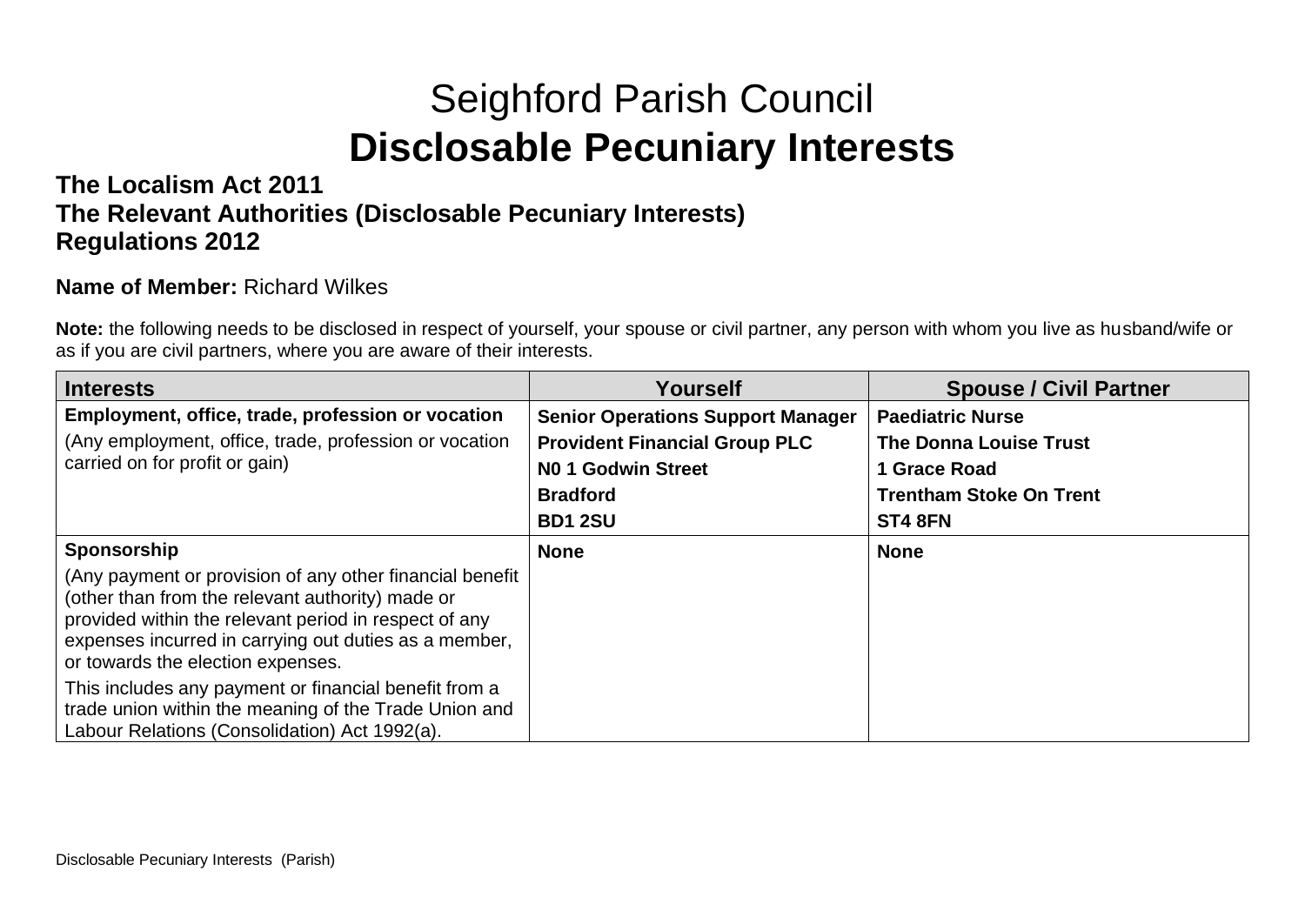# Seighford Parish Council **Disclosable Pecuniary Interests**

### **The Localism Act 2011 The Relevant Authorities (Disclosable Pecuniary Interests) Regulations 2012**

#### **Name of Member:** Richard Wilkes

**Note:** the following needs to be disclosed in respect of yourself, your spouse or civil partner, any person with whom you live as husband/wife or as if you are civil partners, where you are aware of their interests.

| <b>Interests</b>                                                                                                                                                                                                                                                    | Yourself                                 | <b>Spouse / Civil Partner</b>  |
|---------------------------------------------------------------------------------------------------------------------------------------------------------------------------------------------------------------------------------------------------------------------|------------------------------------------|--------------------------------|
| Employment, office, trade, profession or vocation                                                                                                                                                                                                                   | <b>Senior Operations Support Manager</b> | <b>Paediatric Nurse</b>        |
| (Any employment, office, trade, profession or vocation                                                                                                                                                                                                              | <b>Provident Financial Group PLC</b>     | <b>The Donna Louise Trust</b>  |
| carried on for profit or gain)                                                                                                                                                                                                                                      | NO 1 Godwin Street                       | 1 Grace Road                   |
|                                                                                                                                                                                                                                                                     | <b>Bradford</b>                          | <b>Trentham Stoke On Trent</b> |
|                                                                                                                                                                                                                                                                     | <b>BD1 2SU</b>                           | ST4 8FN                        |
| Sponsorship                                                                                                                                                                                                                                                         | <b>None</b>                              | <b>None</b>                    |
| (Any payment or provision of any other financial benefit<br>(other than from the relevant authority) made or<br>provided within the relevant period in respect of any<br>expenses incurred in carrying out duties as a member,<br>or towards the election expenses. |                                          |                                |
| This includes any payment or financial benefit from a<br>trade union within the meaning of the Trade Union and<br>Labour Relations (Consolidation) Act 1992(a).                                                                                                     |                                          |                                |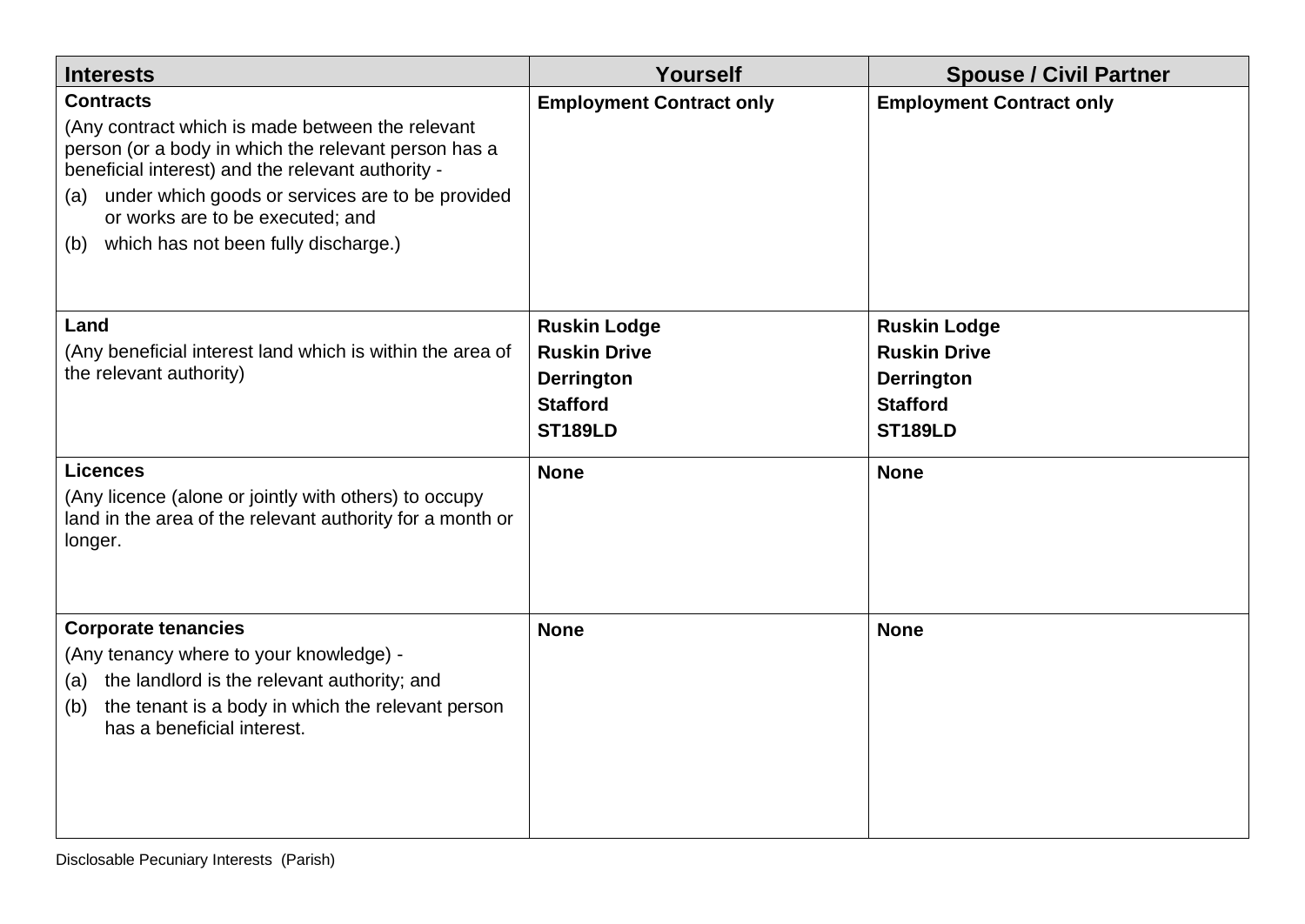| <b>Interests</b>                                                                                                                                                                                                                                                                                                                | Yourself                                                                                             | <b>Spouse / Civil Partner</b>                                                                        |
|---------------------------------------------------------------------------------------------------------------------------------------------------------------------------------------------------------------------------------------------------------------------------------------------------------------------------------|------------------------------------------------------------------------------------------------------|------------------------------------------------------------------------------------------------------|
| <b>Contracts</b><br>(Any contract which is made between the relevant<br>person (or a body in which the relevant person has a<br>beneficial interest) and the relevant authority -<br>under which goods or services are to be provided<br>(a)<br>or works are to be executed; and<br>which has not been fully discharge.)<br>(b) | <b>Employment Contract only</b>                                                                      | <b>Employment Contract only</b>                                                                      |
| Land<br>(Any beneficial interest land which is within the area of<br>the relevant authority)                                                                                                                                                                                                                                    | <b>Ruskin Lodge</b><br><b>Ruskin Drive</b><br><b>Derrington</b><br><b>Stafford</b><br><b>ST189LD</b> | <b>Ruskin Lodge</b><br><b>Ruskin Drive</b><br><b>Derrington</b><br><b>Stafford</b><br><b>ST189LD</b> |
| <b>Licences</b><br>(Any licence (alone or jointly with others) to occupy<br>land in the area of the relevant authority for a month or<br>longer.                                                                                                                                                                                | <b>None</b>                                                                                          | <b>None</b>                                                                                          |
| <b>Corporate tenancies</b><br>(Any tenancy where to your knowledge) -<br>the landlord is the relevant authority; and<br>(a)<br>the tenant is a body in which the relevant person<br>(b)<br>has a beneficial interest.                                                                                                           | <b>None</b>                                                                                          | <b>None</b>                                                                                          |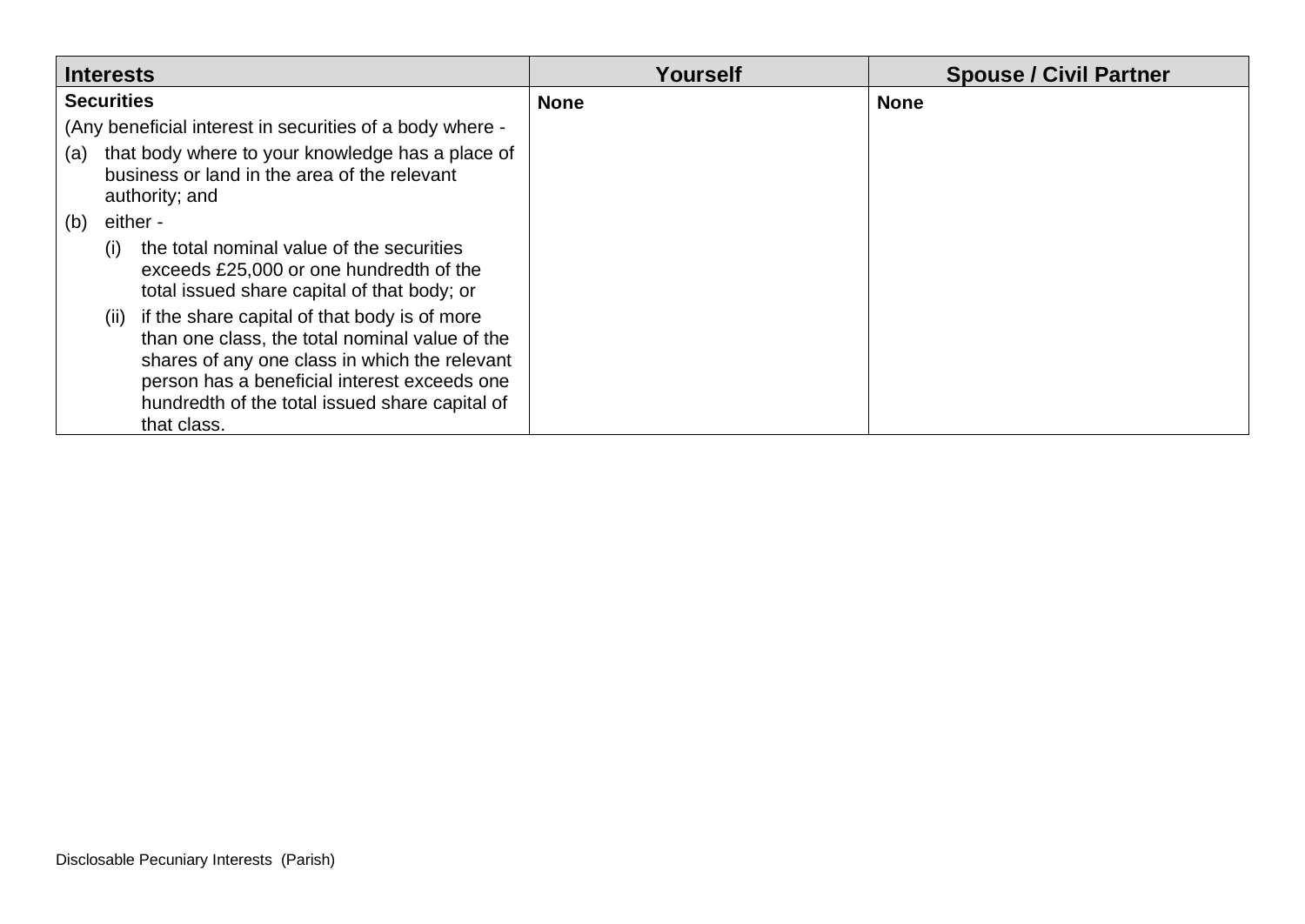| <b>Interests</b>  |          |                                                                                                                                                                                                                                                                       | Yourself    | <b>Spouse / Civil Partner</b> |
|-------------------|----------|-----------------------------------------------------------------------------------------------------------------------------------------------------------------------------------------------------------------------------------------------------------------------|-------------|-------------------------------|
| <b>Securities</b> |          |                                                                                                                                                                                                                                                                       | <b>None</b> | <b>None</b>                   |
|                   |          | (Any beneficial interest in securities of a body where -                                                                                                                                                                                                              |             |                               |
| (a)               |          | that body where to your knowledge has a place of<br>business or land in the area of the relevant<br>authority; and                                                                                                                                                    |             |                               |
| (b)               | either - |                                                                                                                                                                                                                                                                       |             |                               |
|                   | (i)      | the total nominal value of the securities<br>exceeds £25,000 or one hundredth of the<br>total issued share capital of that body; or                                                                                                                                   |             |                               |
|                   |          | (ii) if the share capital of that body is of more<br>than one class, the total nominal value of the<br>shares of any one class in which the relevant<br>person has a beneficial interest exceeds one<br>hundredth of the total issued share capital of<br>that class. |             |                               |